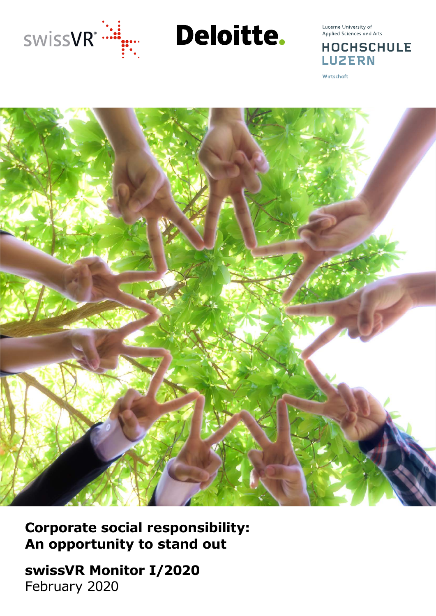

Deloitte.

Lucerne University of Applied Sciences and Arts

**HOCHSCHULE LUZERN** 

Wirtschaft



**Corporate social responsibility: An opportunity to stand out**

**swissVR Monitor I/2020** February 2020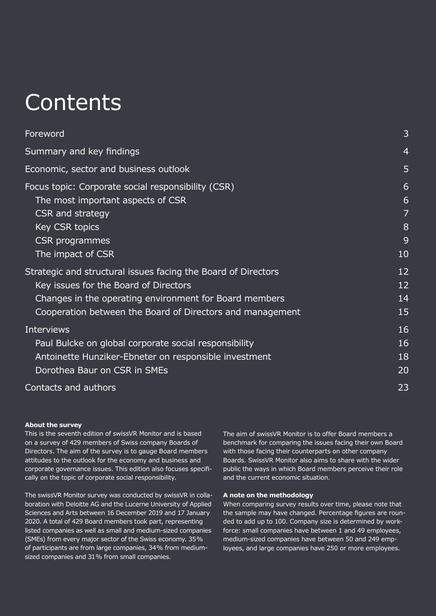## **Contents**

| Foreword                                                                                                                                                                                                                      | 3                           |
|-------------------------------------------------------------------------------------------------------------------------------------------------------------------------------------------------------------------------------|-----------------------------|
| Summary and key findings                                                                                                                                                                                                      | 4                           |
| Economic, sector and business outlook                                                                                                                                                                                         | 5                           |
| Focus topic: Corporate social responsibility (CSR)<br>The most important aspects of CSR<br>CSR and strategy<br>Key CSR topics<br><b>CSR</b> programmes<br>The impact of CSR                                                   | 6<br>6<br>7<br>8<br>9<br>10 |
| Strategic and structural issues facing the Board of Directors<br>Key issues for the Board of Directors<br>Changes in the operating environment for Board members<br>Cooperation between the Board of Directors and management | 12<br>12<br>14<br>15        |
| <b>Interviews</b><br>Paul Bulcke on global corporate social responsibility<br>Antoinette Hunziker-Ebneter on responsible investment<br>Dorothea Baur on CSR in SMEs                                                           | 16<br>16<br>18<br>20        |
| Contacts and authors                                                                                                                                                                                                          | 23                          |

#### **About the survey**

This is the seventh edition of swissVR Monitor and is based on a survey of 429 members of Swiss company Boards of Directors. The aim of the survey is to gauge Board members attitudes to the outlook for the economy and business and corporate governance issues. This edition also focuses specifically on the topic of corporate social responsibility.

The swissVR Monitor survey was conducted by swissVR in collaboration with Deloitte AG and the Lucerne University of Applied Sciences and Arts between 16 December 2019 and 17 January 2020. A total of 429 Board members took part, representing listed companies as well as small and medium-sized companies (SMEs) from every major sector of the Swiss economy. 35% of participants are from large companies, 34% from mediumsized companies and 31% from small companies.

The aim of swissVR Monitor is to offer Board members a benchmark for comparing the issues facing their own Board with those facing their counterparts on other company Boards. SwissVR Monitor also aims to share with the wider public the ways in which Board members perceive their role and the current economic situation.

#### **A note on the methodology**

When comparing survey results over time, please note that the sample may have changed. Percentage figures are rounded to add up to 100. Company size is determined by workforce: small companies have between 1 and 49 employees, medium-sized companies have between 50 and 249 employees, and large companies have 250 or more employees.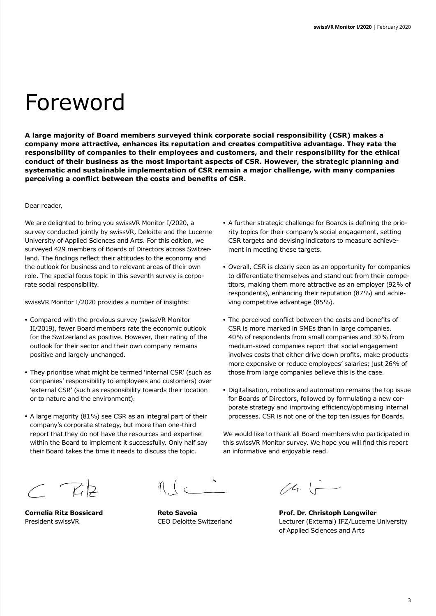## Foreword

**A large majority of Board members surveyed think corporate social responsibility (CSR) makes a company more attractive, enhances its reputation and creates competitive advantage. They rate the responsibility of companies to their employees and customers, and their responsibility for the ethical conduct of their business as the most important aspects of CSR. However, the strategic planning and systematic and sustainable implementation of CSR remain a major challenge, with many companies perceiving a conflict between the costs and benefits of CSR.**

#### Dear reader,

We are delighted to bring you swissVR Monitor I/2020, a survey conducted jointly by swissVR, Deloitte and the Lucerne University of Applied Sciences and Arts. For this edition, we surveyed 429 members of Boards of Directors across Switzerland. The findings reflect their attitudes to the economy and the outlook for business and to relevant areas of their own role. The special focus topic in this seventh survey is corporate social responsibility.

swissVR Monitor I/2020 provides a number of insights:

- **•** Compared with the previous survey (swissVR Monitor II/2019), fewer Board members rate the economic outlook for the Switzerland as positive. However, their rating of the outlook for their sector and their own company remains positive and largely unchanged.
- **•** They prioritise what might be termed 'internal CSR' (such as companies' responsibility to employees and customers) over 'external CSR' (such as responsibility towards their location or to nature and the environment).
- **•** A large majority (81%) see CSR as an integral part of their company's corporate strategy, but more than one-third report that they do not have the resources and expertise within the Board to implement it successfully. Only half say their Board takes the time it needs to discuss the topic.
- **•** A further strategic challenge for Boards is defining the priority topics for their company's social engagement, setting CSR targets and devising indicators to measure achievement in meeting these targets.
- **•** Overall, CSR is clearly seen as an opportunity for companies to differentiate themselves and stand out from their competitors, making them more attractive as an employer (92% of respondents), enhancing their reputation (87%) and achieving competitive advantage (85%).
- **•** The perceived conflict between the costs and benefits of CSR is more marked in SMEs than in large companies. 40% of respondents from small companies and 30% from medium-sized companies report that social engagement involves costs that either drive down profits, make products more expensive or reduce employees' salaries; just 26% of those from large companies believe this is the case.
- **•** Digitalisation, robotics and automation remains the top issue for Boards of Directors, followed by formulating a new corporate strategy and improving efficiency/optimising internal processes. CSR is not one of the top ten issues for Boards.

We would like to thank all Board members who participated in this swissVR Monitor survey. We hope you will find this report an informative and enjoyable read.

 $C$   $Riz$ 

 $\eta$  (c  $\sim$ 

 $(4.1)$ 

**Cornelia Ritz Bossicard Reto Savoia Prof. Dr. Christoph Lengwiler** President swissVR CEO Deloitte Switzerland Lecturer (External) IFZ/Lucerne University of Applied Sciences and Arts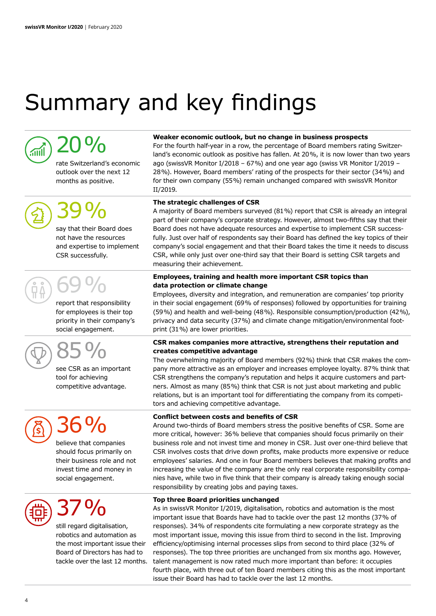## Summary and key findings



## 20%

rate Switzerland's economic outlook over the next 12 months as positive.



# 39%

say that their Board does not have the resources and expertise to implement CSR successfully.

# 69%

report that responsibility for employees is their top priority in their company's social engagement.



85%

| see CSR as an important |
|-------------------------|
| tool for achieving      |
| competitive advantage.  |



believe that companies should focus primarily on their business role and not invest time and money in social engagement.



## 37%

still regard digitalisation, robotics and automation as the most important issue their Board of Directors has had to tackle over the last 12 months.

#### **Weaker economic outlook, but no change in business prospects**

For the fourth half-year in a row, the percentage of Board members rating Switzerland's economic outlook as positive has fallen. At 20%, it is now lower than two years ago (swissVR Monitor I/2018 – 67%) and one year ago (swiss VR Monitor I/2019 – 28%). However, Board members' rating of the prospects for their sector (34%) and for their own company (55%) remain unchanged compared with swissVR Monitor II/2019.

#### **The strategic challenges of CSR**

A majority of Board members surveyed (81%) report that CSR is already an integral part of their company's corporate strategy. However, almost two-fifths say that their Board does not have adequate resources and expertise to implement CSR successfully. Just over half of respondents say their Board has defined the key topics of their company's social engagement and that their Board takes the time it needs to discuss CSR, while only just over one-third say that their Board is setting CSR targets and measuring their achievement.

#### **Employees, training and health more important CSR topics than data protection or climate change**

Employees, diversity and integration, and remuneration are companies' top priority in their social engagement (69% of responses) followed by opportunities for training (59%) and health and well-being (48%). Responsible consumption/production (42%), privacy and data security (37%) and climate change mitigation/environmental footprint (31%) are lower priorities.

#### **CSR makes companies more attractive, strengthens their reputation and creates competitive advantage**

The overwhelming majority of Board members (92%) think that CSR makes the company more attractive as an employer and increases employee loyalty. 87% think that CSR strengthens the company's reputation and helps it acquire customers and partners. Almost as many (85%) think that CSR is not just about marketing and public relations, but is an important tool for differentiating the company from its competitors and achieving competitive advantage.

#### **Conflict between costs and benefits of CSR**

Around two-thirds of Board members stress the positive benefits of CSR. Some are more critical, however: 36% believe that companies should focus primarily on their business role and not invest time and money in CSR. Just over one-third believe that CSR involves costs that drive down profits, make products more expensive or reduce employees' salaries. And one in four Board members believes that making profits and increasing the value of the company are the only real corporate responsibility companies have, while two in five think that their company is already taking enough social responsibility by creating jobs and paying taxes.

#### **Top three Board priorities unchanged**

As in swissVR Monitor I/2019, digitalisation, robotics and automation is the most important issue that Boards have had to tackle over the past 12 months (37% of responses). 34% of respondents cite formulating a new corporate strategy as the most important issue, moving this issue from third to second in the list. Improving efficiency/optimising internal processes slips from second to third place (32% of responses). The top three priorities are unchanged from six months ago. However, talent management is now rated much more important than before: it occupies fourth place, with three out of ten Board members citing this as the most important issue their Board has had to tackle over the last 12 months.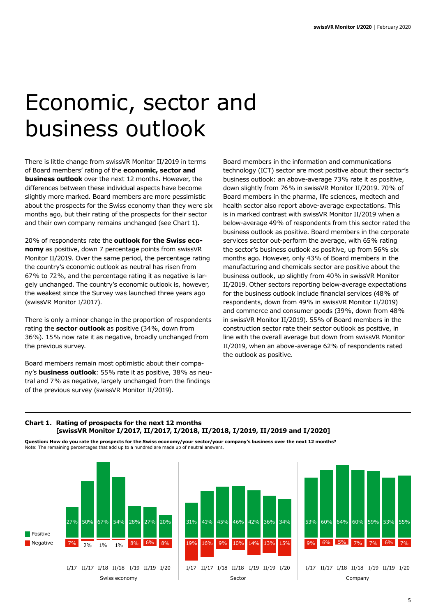## Economic, sector and business outlook

There is little change from swissVR Monitor II/2019 in terms of Board members' rating of the **economic, sector and business outlook** over the next 12 months. However, the differences between these individual aspects have become slightly more marked. Board members are more pessimistic about the prospects for the Swiss economy than they were six months ago, but their rating of the prospects for their sector and their own company remains unchanged (see Chart 1).

20% of respondents rate the **outlook for the Swiss economy** as positive, down 7 percentage points from swissVR Monitor II/2019. Over the same period, the percentage rating the country's economic outlook as neutral has risen from 67% to 72%, and the percentage rating it as negative is largely unchanged. The country's economic outlook is, however, the weakest since the Survey was launched three years ago (swissVR Monitor I/2017).

There is only a minor change in the proportion of respondents rating the **sector outlook** as positive (34%, down from 36%). 15% now rate it as negative, broadly unchanged from the previous survey.

Board members remain most optimistic about their company's **business outlook**: 55% rate it as positive, 38% as neutral and 7% as negative, largely unchanged from the findings of the previous survey (swissVR Monitor II/2019).

Board members in the information and communications technology (ICT) sector are most positive about their sector's business outlook: an above-average 73% rate it as positive, down slightly from 76% in swissVR Monitor II/2019. 70% of Board members in the pharma, life sciences, medtech and health sector also report above-average expectations. This is in marked contrast with swissVR Monitor II/2019 when a below-average 49% of respondents from this sector rated the business outlook as positive. Board members in the corporate services sector out-perform the average, with 65% rating the sector's business outlook as positive, up from 56% six months ago. However, only 43% of Board members in the manufacturing and chemicals sector are positive about the business outlook, up slightly from 40% in swissVR Monitor II/2019. Other sectors reporting below-average expectations for the business outlook include financial services (48% of respondents, down from 49% in swissVR Monitor II/2019) and commerce and consumer goods (39%, down from 48% in swissVR Monitor II/2019). 55% of Board members in the construction sector rate their sector outlook as positive, in line with the overall average but down from swissVR Monitor II/2019, when an above-average 62% of respondents rated the outlook as positive.

#### **Chart 1. Rating of prospects for the next 12 months [swissVR Monitor I/2017, II/2017, I/2018, II/2018, I/2019, II/2019 and I/2020]**

**Question: How do you rate the prospects for the Swiss economy/your sector/your company's business over the next 12 months?** Note: The remaining percentages that add up to a hundred are made up of neutral answers.

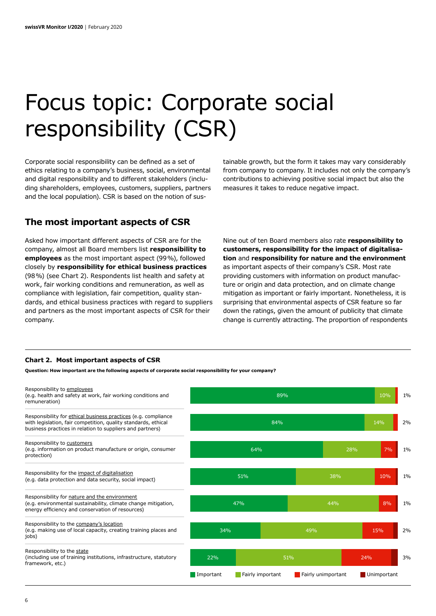## Focus topic: Corporate social responsibility (CSR)

Corporate social responsibility can be defined as a set of ethics relating to a company's business, social, environmental and digital responsibility and to different stakeholders (including shareholders, employees, customers, suppliers, partners and the local population). CSR is based on the notion of sustainable growth, but the form it takes may vary considerably from company to company. It includes not only the company's contributions to achieving positive social impact but also the measures it takes to reduce negative impact.

### **The most important aspects of CSR**

Asked how important different aspects of CSR are for the company, almost all Board members list **responsibility to employees** as the most important aspect (99%), followed closely by **responsibility for ethical business practices** (98%) (see Chart 2). Respondents list health and safety at work, fair working conditions and remuneration, as well as compliance with legislation, fair competition, quality standards, and ethical business practices with regard to suppliers and partners as the most important aspects of CSR for their company.

Nine out of ten Board members also rate **responsibility to customers, responsibility for the impact of digitalisation** and **responsibility for nature and the environment**  as important aspects of their company's CSR. Most rate providing customers with information on product manufacture or origin and data protection, and on climate change mitigation as important or fairly important. Nonetheless, it is surprising that environmental aspects of CSR feature so far down the ratings, given the amount of publicity that climate change is currently attracting. The proportion of respondents

#### **Chart 2. Most important aspects of CSR**

**Question: How important are the following aspects of corporate social responsibility for your company?**

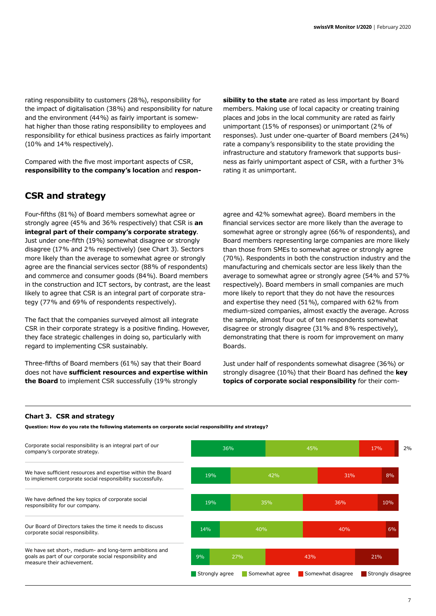rating responsibility to customers (28%), responsibility for the impact of digitalisation (38%) and responsibility for nature and the environment (44%) as fairly important is somewhat higher than those rating responsibility to employees and responsibility for ethical business practices as fairly important (10% and 14% respectively).

Compared with the five most important aspects of CSR, **responsibility to the company's location** and **respon-**

## **CSR and strategy**

Four-fifths (81%) of Board members somewhat agree or strongly agree (45% and 36% respectively) that CSR is **an integral part of their company's corporate strategy**. Just under one-fifth (19%) somewhat disagree or strongly disagree (17% and 2% respectively) (see Chart 3). Sectors more likely than the average to somewhat agree or strongly agree are the financial services sector (88% of respondents) and commerce and consumer goods (84%). Board members in the construction and ICT sectors, by contrast, are the least likely to agree that CSR is an integral part of corporate strategy (77% and 69% of respondents respectively).

The fact that the companies surveyed almost all integrate CSR in their corporate strategy is a positive finding. However, they face strategic challenges in doing so, particularly with regard to implementing CSR sustainably.

Three-fifths of Board members (61%) say that their Board does not have **sufficient resources and expertise within the Board** to implement CSR successfully (19% strongly

**sibility to the state** are rated as less important by Board members. Making use of local capacity or creating training places and jobs in the local community are rated as fairly unimportant (15% of responses) or unimportant (2% of responses). Just under one-quarter of Board members (24%) rate a company's responsibility to the state providing the infrastructure and statutory framework that supports business as fairly unimportant aspect of CSR, with a further 3% rating it as unimportant.

agree and 42% somewhat agree). Board members in the financial services sector are more likely than the average to somewhat agree or strongly agree (66% of respondents), and Board members representing large companies are more likely than those from SMEs to somewhat agree or strongly agree (70%). Respondents in both the construction industry and the manufacturing and chemicals sector are less likely than the average to somewhat agree or strongly agree (54% and 57% respectively). Board members in small companies are much more likely to report that they do not have the resources and expertise they need (51%), compared with 62% from medium-sized companies, almost exactly the average. Across the sample, almost four out of ten respondents somewhat disagree or strongly disagree (31% and 8% respectively), demonstrating that there is room for improvement on many Boards.

Just under half of respondents somewhat disagree (36%) or strongly disagree (10%) that their Board has defined the **key topics of corporate social responsibility** for their com-

#### **Chart 3. CSR and strategy**

**Question: How do you rate the following statements on corporate social responsibility and strategy?**

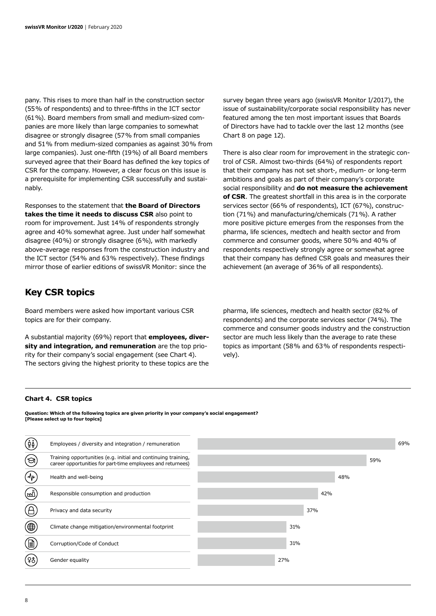pany. This rises to more than half in the construction sector (55% of respondents) and to three-fifths in the ICT sector (61%). Board members from small and medium-sized companies are more likely than large companies to somewhat disagree or strongly disagree (57% from small companies and 51% from medium-sized companies as against 30% from large companies). Just one-fifth (19%) of all Board members surveyed agree that their Board has defined the key topics of CSR for the company. However, a clear focus on this issue is a prerequisite for implementing CSR successfully and sustainably.

Responses to the statement that **the Board of Directors takes the time it needs to discuss CSR** also point to room for improvement. Just 14% of respondents strongly agree and 40% somewhat agree. Just under half somewhat disagree (40%) or strongly disagree (6%), with markedly above-average responses from the construction industry and the ICT sector (54% and 63% respectively). These findings mirror those of earlier editions of swissVR Monitor: since the

### **Key CSR topics**

Board members were asked how important various CSR topics are for their company.

A substantial majority (69%) report that **employees, diversity and integration, and remuneration** are the top priority for their company's social engagement (see Chart 4). The sectors giving the highest priority to these topics are the

survey began three years ago (swissVR Monitor I/2017), the issue of sustainability/corporate social responsibility has never featured among the ten most important issues that Boards of Directors have had to tackle over the last 12 months (see Chart 8 on page 12).

There is also clear room for improvement in the strategic control of CSR. Almost two-thirds (64%) of respondents report that their company has not set short-, medium- or long-term ambitions and goals as part of their company's corporate social responsibility and **do not measure the achievement of CSR**. The greatest shortfall in this area is in the corporate services sector (66% of respondents), ICT (67%), construction (71%) and manufacturing/chemicals (71%). A rather more positive picture emerges from the responses from the pharma, life sciences, medtech and health sector and from commerce and consumer goods, where 50% and 40% of respondents respectively strongly agree or somewhat agree that their company has defined CSR goals and measures their achievement (an average of 36% of all respondents).

pharma, life sciences, medtech and health sector (82% of respondents) and the corporate services sector (74%). The commerce and consumer goods industry and the construction sector are much less likely than the average to rate these topics as important (58% and 63% of respondents respectively).

#### **Chart 4. CSR topics**

**Question: Which of the following topics are given priority in your company's social engagement? [Please select up to four topics]**

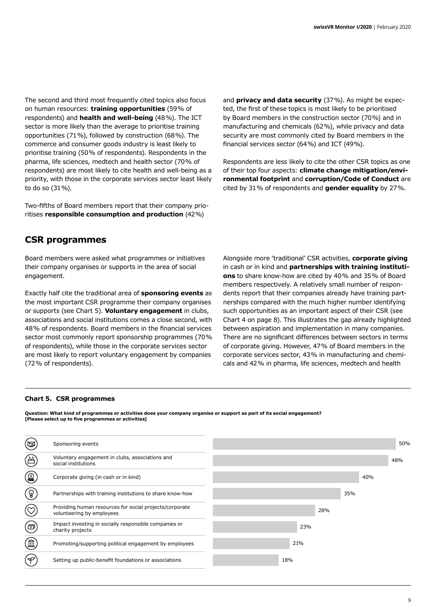The second and third most frequently cited topics also focus on human resources: **training opportunities** (59% of respondents) and **health and well-being** (48%). The ICT sector is more likely than the average to prioritise training opportunities (71%), followed by construction (68%). The commerce and consumer goods industry is least likely to prioritise training (50% of respondents). Respondents in the pharma, life sciences, medtech and health sector (70% of respondents) are most likely to cite health and well-being as a priority, with those in the corporate services sector least likely to do so (31%).

Two-fifths of Board members report that their company prioritises **responsible consumption and production** (42%)

and **privacy and data security** (37%). As might be expected, the first of these topics is most likely to be prioritised by Board members in the construction sector (70%) and in manufacturing and chemicals (62%), while privacy and data security are most commonly cited by Board members in the financial services sector (64%) and ICT (49%).

Respondents are less likely to cite the other CSR topics as one of their top four aspects: **climate change mitigation/environmental footprint** and **corruption/Code of Conduct** are cited by 31% of respondents and **gender equality** by 27%.

## **CSR programmes**

Board members were asked what programmes or initiatives their company organises or supports in the area of social engagement.

Exactly half cite the traditional area of **sponsoring events** as the most important CSR programme their company organises or supports (see Chart 5). **Voluntary engagement** in clubs, associations and social institutions comes a close second, with 48% of respondents. Board members in the financial services sector most commonly report sponsorship programmes (70% of respondents), while those in the corporate services sector are most likely to report voluntary engagement by companies (72% of respondents).

Alongside more 'traditional' CSR activities, **corporate giving**  in cash or in kind and **partnerships with training institutions** to share know-how are cited by 40% and 35% of Board members respectively. A relatively small number of respondents report that their companies already have training partnerships compared with the much higher number identifying such opportunities as an important aspect of their CSR (see Chart 4 on page 8). This illustrates the gap already highlighted between aspiration and implementation in many companies. There are no significant differences between sectors in terms of corporate giving. However, 47% of Board members in the corporate services sector, 43% in manufacturing and chemicals and 42% in pharma, life sciences, medtech and health

#### **Chart 5. CSR programmes**

**Question: What kind of programmes or activities does your company organise or support as part of its social engagement? [Please select up to five programmes or activities]**

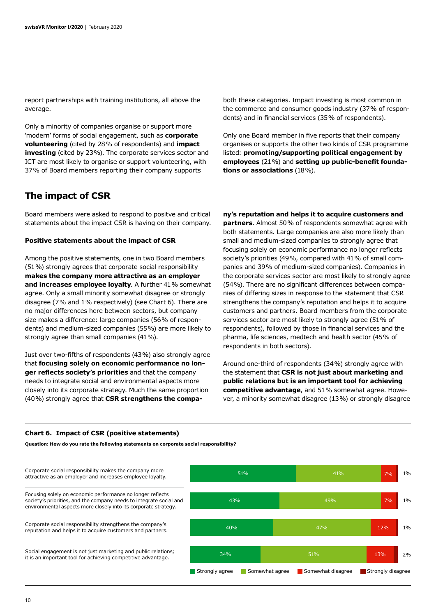report partnerships with training institutions, all above the average.

Only a minority of companies organise or support more 'modern' forms of social engagement, such as **corporate volunteering** (cited by 28% of respondents) and **impact investing** (cited by 23%). The corporate services sector and ICT are most likely to organise or support volunteering, with 37% of Board members reporting their company supports

### **The impact of CSR**

Board members were asked to respond to positve and critical statements about the impact CSR is having on their company.

#### **Positive statements about the impact of CSR**

Among the positive statements, one in two Board members (51%) strongly agrees that corporate social responsibility **makes the company more attractive as an employer and increases employee loyalty**. A further 41% somewhat agree. Only a small minority somewhat disagree or strongly disagree (7% and 1% respectively) (see Chart 6). There are no major differences here between sectors, but company size makes a difference: large companies (56% of respondents) and medium-sized companies (55%) are more likely to strongly agree than small companies (41%).

Just over two-fifths of respondents (43%) also strongly agree that **focusing solely on economic performance no longer reflects society's priorities** and that the company needs to integrate social and environmental aspects more closely into its corporate strategy. Much the same proportion (40%) strongly agree that **CSR strengthens the compa-** both these categories. Impact investing is most common in the commerce and consumer goods industry (37% of respondents) and in financial services (35% of respondents).

Only one Board member in five reports that their company organises or supports the other two kinds of CSR programme listed: **promoting/supporting political engagement by employees** (21%) and **setting up public-benefit foundations or associations** (18%).

**ny's reputation and helps it to acquire customers and partners**. Almost 50% of respondents somewhat agree with both statements. Large companies are also more likely than small and medium-sized companies to strongly agree that focusing solely on economic performance no longer reflects society's priorities (49%, compared with 41% of small companies and 39% of medium-sized companies). Companies in the corporate services sector are most likely to strongly agree (54%). There are no significant differences between companies of differing sizes in response to the statement that CSR strengthens the company's reputation and helps it to acquire customers and partners. Board members from the corporate services sector are most likely to strongly agree (51% of respondents), followed by those in financial services and the pharma, life sciences, medtech and health sector (45% of respondents in both sectors).

Around one-third of respondents (34%) strongly agree with the statement that **CSR is not just about marketing and public relations but is an important tool for achieving competitive advantage**, and 51% somewhat agree. However, a minority somewhat disagree (13%) or strongly disagree

#### **Chart 6. Impact of CSR (positive statements)**

**Question: How do you rate the following statements on corporate social responsibility?**

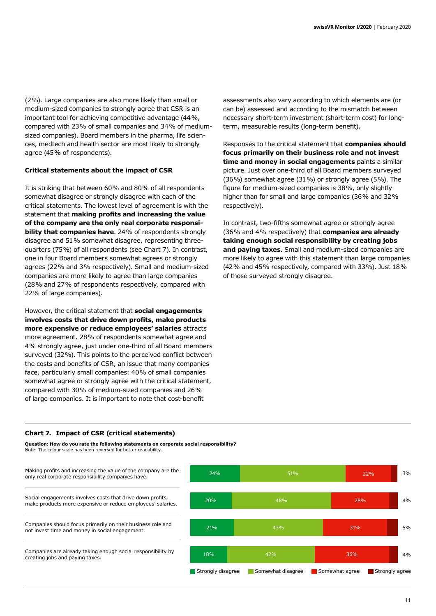(2%). Large companies are also more likely than small or medium-sized companies to strongly agree that CSR is an important tool for achieving competitive advantage (44%, compared with 23% of small companies and 34% of mediumsized companies). Board members in the pharma, life sciences, medtech and health sector are most likely to strongly agree (45% of respondents).

#### **Critical statements about the impact of CSR**

It is striking that between 60% and 80% of all respondents somewhat disagree or strongly disagree with each of the critical statements. The lowest level of agreement is with the statement that **making profits and increasing the value of the company are the only real corporate responsibility that companies have**. 24% of respondents strongly disagree and 51% somewhat disagree, representing threequarters (75%) of all respondents (see Chart 7). In contrast, one in four Board members somewhat agrees or strongly agrees (22% and 3% respectively). Small and medium-sized companies are more likely to agree than large companies (28% and 27% of respondents respectively, compared with 22% of large companies).

However, the critical statement that **social engagements involves costs that drive down profits, make products more expensive or reduce employees' salaries** attracts more agreement. 28% of respondents somewhat agree and 4% strongly agree, just under one-third of all Board members surveyed (32%). This points to the perceived conflict between the costs and benefits of CSR, an issue that many companies face, particularly small companies: 40% of small companies somewhat agree or strongly agree with the critical statement, compared with 30% of medium-sized companies and 26% of large companies. It is important to note that cost-benefit

assessments also vary according to which elements are (or can be) assessed and according to the mismatch between necessary short-term investment (short-term cost) for longterm, measurable results (long-term benefit).

Responses to the critical statement that **companies should focus primarily on their business role and not invest time and money in social engagements** paints a similar picture. Just over one-third of all Board members surveyed (36%) somewhat agree (31%) or strongly agree (5%). The figure for medium-sized companies is 38%, only slightly higher than for small and large companies (36% and 32% respectively).

In contrast, two-fifths somewhat agree or strongly agree (36% and 4% respectively) that **companies are already taking enough social responsibility by creating jobs and paying taxes**. Small and medium-sized companies are more likely to agree with this statement than large companies (42% and 45% respectively, compared with 33%). Just 18% of those surveyed strongly disagree.

#### **Chart 7. Impact of CSR (critical statements)**

**Question: How do you rate the following statements on corporate social responsibility?** Note: The colour scale has been reversed for better readability.

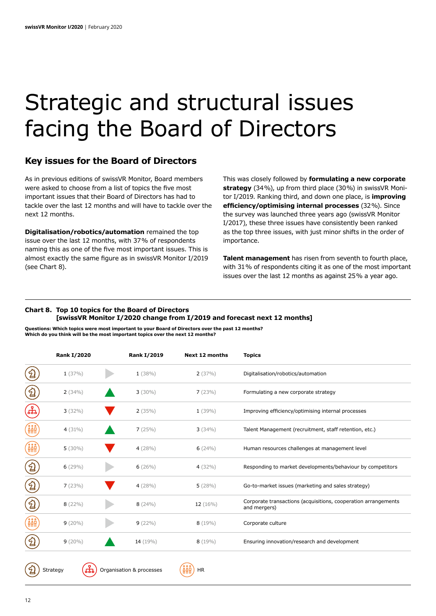## Strategic and structural issues facing the Board of Directors

### **Key issues for the Board of Directors**

As in previous editions of swissVR Monitor, Board members were asked to choose from a list of topics the five most important issues that their Board of Directors has had to tackle over the last 12 months and will have to tackle over the next 12 months.

**Digitalisation/robotics/automation** remained the top issue over the last 12 months, with 37% of respondents naming this as one of the five most important issues. This is almost exactly the same figure as in swissVR Monitor I/2019 (see Chart 8).

This was closely followed by **formulating a new corporate strategy** (34%), up from third place (30%) in swissVR Monitor I/2019. Ranking third, and down one place, is **improving efficiency/optimising internal processes** (32%). Since the survey was launched three years ago (swissVR Monitor I/2017), these three issues have consistently been ranked as the top three issues, with just minor shifts in the order of importance.

**Talent management** has risen from seventh to fourth place, with 31% of respondents citing it as one of the most important issues over the last 12 months as against 25% a year ago.

#### **Chart 8. Top 10 topics for the Board of Directors [swissVR Monitor I/2020 change from I/2019 and forecast next 12 months]**

**Questions: Which topics were most important to your Board of Directors over the past 12 months? Which do you think will be the most important topics over the next 12 months?**

|     | <b>Rank I/2020</b> | <b>Rank I/2019</b>       | <b>Next 12 months</b>   | <b>Topics</b>                                                                  |
|-----|--------------------|--------------------------|-------------------------|--------------------------------------------------------------------------------|
|     | 1(37%)             | 1(38%)                   | 2(37%)                  | Digitalisation/robotics/automation                                             |
| 일   | 2(34%)             | $3(30\%)$                | 7(23%)                  | Formulating a new corporate strategy                                           |
| 만   | $3(32\%)$          | 2(35%)                   | $1(39\%)$               | Improving efficiency/optimising internal processes                             |
| ÂÅÂ | 4 $(31\%)$         | 7(25%)                   | 3(34%)                  | Talent Management (recruitment, staff retention, etc.)                         |
| ÂÅÂ | $5(30\%)$          | 4(28%)                   | 6(24%)                  | Human resources challenges at management level                                 |
| .2  | $6(29\%)$          | 6(26%)                   | 4 $(32\%)$              | Responding to market developments/behaviour by competitors                     |
| 일   | 7(23%)             | 4(28%)                   | 5(28%)                  | Go-to-market issues (marketing and sales strategy)                             |
| ුටු | $8(22\%)$          | 8(24%)                   | 12(16%)                 | Corporate transactions (acquisitions, cooperation arrangements<br>and mergers) |
| ÂÅÂ | $9(20\%)$          | $9(22\%)$                | $8(19\%)$               | Corporate culture                                                              |
| ୍ୟ  | $9(20\%)$          | 14 (19%)                 | $8(19\%)$               | Ensuring innovation/research and development                                   |
| 2   | ᇃ<br>Strategy      | Organisation & processes | <b>HR</b><br><b>AAR</b> |                                                                                |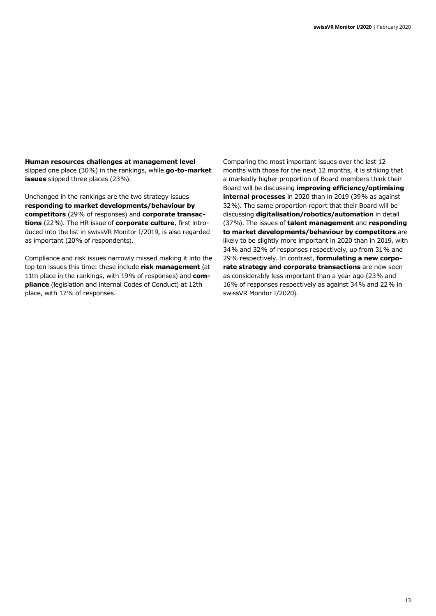**Human resources challenges at management level**  slipped one place (30%) in the rankings, while **go-to-market issues** slipped three places (23%).

Unchanged in the rankings are the two strategy issues **responding to market developments/behaviour by competitors** (29% of responses) and **corporate transactions** (22%). The HR issue of **corporate culture**, first introduced into the list in swissVR Monitor I/2019, is also regarded as important (20% of respondents).

Compliance and risk issues narrowly missed making it into the top ten issues this time: these include **risk management** (at 11th place in the rankings, with 19% of responses) and **compliance** (legislation and internal Codes of Conduct) at 12th place, with 17% of responses.

Comparing the most important issues over the last 12 months with those for the next 12 months, it is striking that a markedly higher proportion of Board members think their Board will be discussing **improving efficiency/optimising internal processes** in 2020 than in 2019 (39% as against 32%). The same proportion report that their Board will be discussing **digitalisation/robotics/automation** in detail (37%). The issues of **talent management** and **responding to market developments/behaviour by competitors** are likely to be slightly more important in 2020 than in 2019, with 34% and 32% of responses respectively, up from 31% and 29% respectively. In contrast, **formulating a new corporate strategy and corporate transactions** are now seen as considerably less important than a year ago (23% and 16% of responses respectively as against 34% and 22% in swissVR Monitor I/2020).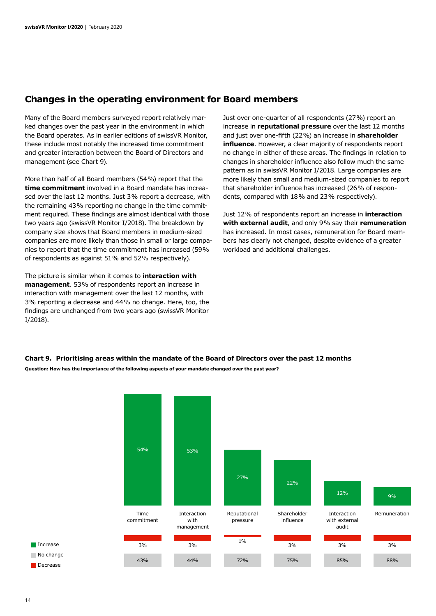### **Changes in the operating environment for Board members**

Many of the Board members surveyed report relatively marked changes over the past year in the environment in which the Board operates. As in earlier editions of swissVR Monitor, these include most notably the increased time commitment and greater interaction between the Board of Directors and management (see Chart 9).

More than half of all Board members (54%) report that the **time commitment** involved in a Board mandate has increased over the last 12 months. Just 3% report a decrease, with the remaining 43% reporting no change in the time commitment required. These findings are almost identical with those two years ago (swissVR Monitor I/2018). The breakdown by company size shows that Board members in medium-sized companies are more likely than those in small or large companies to report that the time commitment has increased (59% of respondents as against 51% and 52% respectively).

The picture is similar when it comes to **interaction with management**. 53% of respondents report an increase in interaction with management over the last 12 months, with 3% reporting a decrease and 44% no change. Here, too, the findings are unchanged from two years ago (swissVR Monitor I/2018).

Just over one-quarter of all respondents (27%) report an increase in **reputational pressure** over the last 12 months and just over one-fifth (22%) an increase in **shareholder influence**. However, a clear majority of respondents report no change in either of these areas. The findings in relation to changes in shareholder influence also follow much the same pattern as in swissVR Monitor I/2018. Large companies are more likely than small and medium-sized companies to report that shareholder influence has increased (26% of respondents, compared with 18% and 23% respectively).

Just 12% of respondents report an increase in **interaction with external audit**, and only 9% say their **remuneration** has increased. In most cases, remuneration for Board members has clearly not changed, despite evidence of a greater workload and additional challenges.

#### **Chart 9. Prioritising areas within the mandate of the Board of Directors over the past 12 months**

**Question: How has the importance of the following aspects of your mandate changed over the past year?**

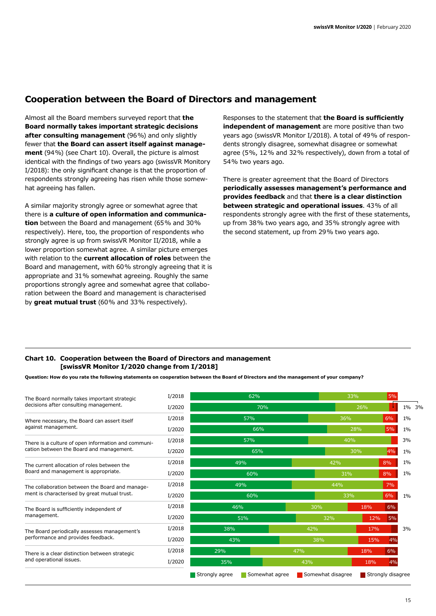## **Cooperation between the Board of Directors and management**

Almost all the Board members surveyed report that **the Board normally takes important strategic decisions after consulting management** (96%) and only slightly fewer that **the Board can assert itself against management** (94%) (see Chart 10). Overall, the picture is almost identical with the findings of two years ago (swissVR Monitory I/2018): the only significant change is that the proportion of respondents strongly agreeing has risen while those somewhat agreeing has fallen.

A similar majority strongly agree or somewhat agree that there is **a culture of open information and communication** between the Board and management (65% and 30% respectively). Here, too, the proportion of respondents who strongly agree is up from swissVR Monitor II/2018, while a lower proportion somewhat agree. A similar picture emerges with relation to the **current allocation of roles** between the Board and management, with 60% strongly agreeing that it is appropriate and 31% somewhat agreeing. Roughly the same proportions strongly agree and somewhat agree that collaboration between the Board and management is characterised by **great mutual trust** (60% and 33% respectively).

Responses to the statement that **the Board is sufficiently independent of management** are more positive than two years ago (swissVR Monitor I/2018). A total of 49% of respondents strongly disagree, somewhat disagree or somewhat agree (5%, 12% and 32% respectively), down from a total of 54% two years ago.

There is greater agreement that the Board of Directors **periodically assesses management's performance and provides feedback** and that **there is a clear distinction between strategic and operational issues**. 43% of all respondents strongly agree with the first of these statements, up from 38% two years ago, and 35% strongly agree with the second statement, up from 29% two years ago.

#### **Chart 10. Cooperation between the Board of Directors and management [swissVR Monitor I/2020 change from I/2018]**

**Question: How do you rate the following statements on cooperation between the Board of Directors and the management of your company?**

| The Board normally takes important strategic                                                    | I/2018 | 62%                              |                   | 33% | 5%                |       |  |
|-------------------------------------------------------------------------------------------------|--------|----------------------------------|-------------------|-----|-------------------|-------|--|
| decisions after consulting management.                                                          | I/2020 | <b>70%</b>                       |                   | 26% |                   | 1% 3% |  |
| Where necessary, the Board can assert itself<br>against management.                             | I/2018 | 57%                              |                   | 36% | 6%                | $1\%$ |  |
|                                                                                                 | I/2020 | 66%                              |                   | 28% | 5%                | $1\%$ |  |
| There is a culture of open information and communi-                                             | I/2018 | 57%                              |                   | 40% |                   | 3%    |  |
| cation between the Board and management.                                                        | I/2020 | 65%                              |                   | 30% | 4%                | $1\%$ |  |
| The current allocation of roles between the                                                     | I/2018 | 49%                              | 42%               |     | 8%                | $1\%$ |  |
| Board and management is appropriate.                                                            | I/2020 | 60%                              |                   | 31% | 8%                | 1%    |  |
| The collaboration between the Board and manage-<br>ment is characterised by great mutual trust. | I/2018 | 49%                              | 44%               |     | 7%                |       |  |
|                                                                                                 | I/2020 | 60%                              |                   | 33% | 6%                | $1\%$ |  |
| The Board is sufficiently independent of                                                        | I/2018 | 46%                              | 30%               | 18% | 6%                |       |  |
| management.                                                                                     | I/2020 | 51%                              | 32%               | 12% | 5%                |       |  |
| The Board periodically assesses management's<br>performance and provides feedback.              | I/2018 | 38%                              | 42%               | 17% |                   | 3%    |  |
|                                                                                                 | I/2020 | 43%                              | 38%               | 15% | 4%                |       |  |
| There is a clear distinction between strategic                                                  | I/2018 | 29%                              | 47%               | 18% | 6%                |       |  |
| and operational issues.                                                                         | I/2020 | 35%                              | 43%               | 18% | 4%                |       |  |
|                                                                                                 |        | Strongly agree<br>Somewhat agree | Somewhat disagree |     | Strongly disagree |       |  |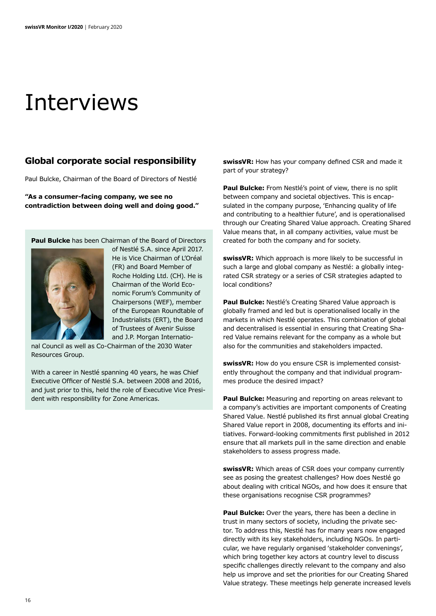## Interviews

### **Global corporate social responsibility**

Paul Bulcke, Chairman of the Board of Directors of Nestlé

**"As a consumer-facing company, we see no contradiction between doing well and doing good."**

**Paul Bulcke** has been Chairman of the Board of Directors



of Nestlé S.A. since April 2017. He is Vice Chairman of L'Oréal (FR) and Board Member of Roche Holding Ltd. (CH). He is Chairman of the World Economic Forum's Community of Chairpersons (WEF), member of the European Roundtable of Industrialists (ERT), the Board of Trustees of Avenir Suisse and J.P. Morgan Internatio-

nal Council as well as Co-Chairman of the 2030 Water Resources Group.

With a career in Nestlé spanning 40 years, he was Chief Executive Officer of Nestlé S.A. between 2008 and 2016, and just prior to this, held the role of Executive Vice President with responsibility for Zone Americas.

**swissVR:** How has your company defined CSR and made it part of your strategy?

**Paul Bulcke:** From Nestlé's point of view, there is no split between company and societal objectives. This is encapsulated in the company purpose, 'Enhancing quality of life and contributing to a healthier future', and is operationalised through our Creating Shared Value approach. Creating Shared Value means that, in all company activities, value must be created for both the company and for society.

**swissVR:** Which approach is more likely to be successful in such a large and global company as Nestlé: a globally integrated CSR strategy or a series of CSR strategies adapted to local conditions?

**Paul Bulcke:** Nestlé's Creating Shared Value approach is globally framed and led but is operationalised locally in the markets in which Nestlé operates. This combination of global and decentralised is essential in ensuring that Creating Shared Value remains relevant for the company as a whole but also for the communities and stakeholders impacted.

**swissVR:** How do you ensure CSR is implemented consistently throughout the company and that individual programmes produce the desired impact?

**Paul Bulcke:** Measuring and reporting on areas relevant to a company's activities are important components of Creating Shared Value. Nestlé published its first annual global Creating Shared Value report in 2008, documenting its efforts and initiatives. Forward-looking commitments first published in 2012 ensure that all markets pull in the same direction and enable stakeholders to assess progress made.

**swissVR:** Which areas of CSR does your company currently see as posing the greatest challenges? How does Nestlé go about dealing with critical NGOs, and how does it ensure that these organisations recognise CSR programmes?

**Paul Bulcke:** Over the years, there has been a decline in trust in many sectors of society, including the private sector. To address this, Nestlé has for many years now engaged directly with its key stakeholders, including NGOs. In particular, we have regularly organised 'stakeholder convenings', which bring together key actors at country level to discuss specific challenges directly relevant to the company and also help us improve and set the priorities for our Creating Shared Value strategy. These meetings help generate increased levels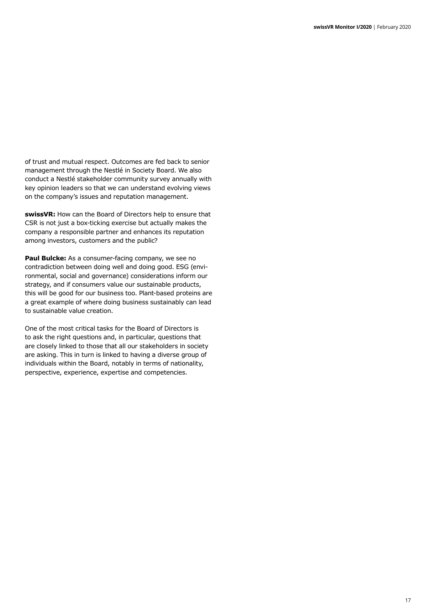of trust and mutual respect. Outcomes are fed back to senior management through the Nestlé in Society Board. We also conduct a Nestlé stakeholder community survey annually with key opinion leaders so that we can understand evolving views on the company's issues and reputation management.

**swissVR:** How can the Board of Directors help to ensure that CSR is not just a box-ticking exercise but actually makes the company a responsible partner and enhances its reputation among investors, customers and the public?

**Paul Bulcke:** As a consumer-facing company, we see no contradiction between doing well and doing good. ESG (environmental, social and governance) considerations inform our strategy, and if consumers value our sustainable products, this will be good for our business too. Plant-based proteins are a great example of where doing business sustainably can lead to sustainable value creation.

One of the most critical tasks for the Board of Directors is to ask the right questions and, in particular, questions that are closely linked to those that all our stakeholders in society are asking. This in turn is linked to having a diverse group of individuals within the Board, notably in terms of nationality, perspective, experience, expertise and competencies.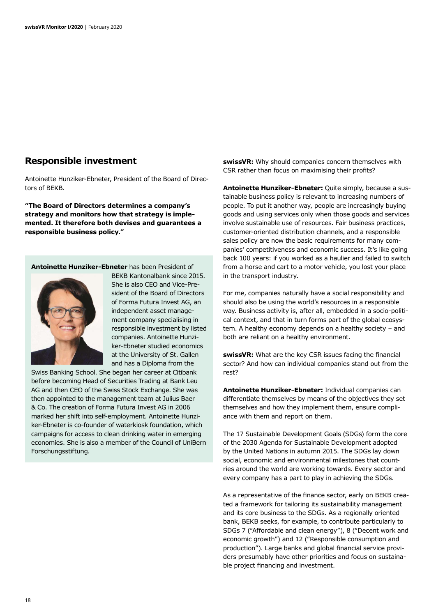### **Responsible investment**

Antoinette Hunziker-Ebneter, President of the Board of Directors of BEKB.

**"The Board of Directors determines a company's strategy and monitors how that strategy is implemented. It therefore both devises and guarantees a responsible business policy."**

**Antoinette Hunziker-Ebneter** has been President of



BEKB Kantonalbank since 2015. She is also CEO and Vice-President of the Board of Directors of Forma Futura Invest AG, an independent asset management company specialising in responsible investment by listed companies. Antoinette Hunziker-Ebneter studied economics at the University of St. Gallen and has a Diploma from the

Swiss Banking School. She began her career at Citibank before becoming Head of Securities Trading at Bank Leu AG and then CEO of the Swiss Stock Exchange. She was then appointed to the management team at Julius Baer & Co. The creation of Forma Futura Invest AG in 2006 marked her shift into self-employment. Antoinette Hunziker-Ebneter is co-founder of waterkiosk foundation, which campaigns for access to clean drinking water in emerging economies. She is also a member of the Council of UniBern Forschungsstiftung.

**swissVR:** Why should companies concern themselves with CSR rather than focus on maximising their profits?

**Antoinette Hunziker-Ebneter:** Quite simply, because a sustainable business policy is relevant to increasing numbers of people. To put it another way, people are increasingly buying goods and using services only when those goods and services involve sustainable use of resources. Fair business practices, customer-oriented distribution channels, and a responsible sales policy are now the basic requirements for many companies' competitiveness and economic success. It's like going back 100 years: if you worked as a haulier and failed to switch from a horse and cart to a motor vehicle, you lost your place in the transport industry.

For me, companies naturally have a social responsibility and should also be using the world's resources in a responsible way. Business activity is, after all, embedded in a socio-political context, and that in turn forms part of the global ecosystem. A healthy economy depends on a healthy society – and both are reliant on a healthy environment.

**swissVR:** What are the key CSR issues facing the financial sector? And how can individual companies stand out from the rest?

**Antoinette Hunziker-Ebneter:** Individual companies can differentiate themselves by means of the objectives they set themselves and how they implement them, ensure compliance with them and report on them.

The 17 Sustainable Development Goals (SDGs) form the core of the 2030 Agenda for Sustainable Development adopted by the United Nations in autumn 2015. The SDGs lay down social, economic and environmental milestones that countries around the world are working towards. Every sector and every company has a part to play in achieving the SDGs.

As a representative of the finance sector, early on BEKB created a framework for tailoring its sustainability management and its core business to the SDGs. As a regionally oriented bank, BEKB seeks, for example, to contribute particularly to SDGs 7 ("Affordable and clean energy"), 8 ("Decent work and economic growth") and 12 ("Responsible consumption and production"). Large banks and global financial service providers presumably have other priorities and focus on sustainable project financing and investment.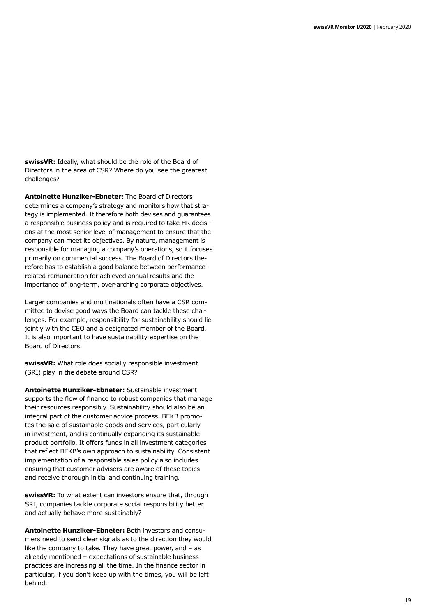**swissVR:** Ideally, what should be the role of the Board of Directors in the area of CSR? Where do you see the greatest challenges?

**Antoinette Hunziker-Ebneter:** The Board of Directors determines a company's strategy and monitors how that strategy is implemented. It therefore both devises and guarantees a responsible business policy and is required to take HR decisions at the most senior level of management to ensure that the company can meet its objectives. By nature, management is responsible for managing a company's operations, so it focuses primarily on commercial success. The Board of Directors therefore has to establish a good balance between performancerelated remuneration for achieved annual results and the importance of long-term, over-arching corporate objectives.

Larger companies and multinationals often have a CSR committee to devise good ways the Board can tackle these challenges. For example, responsibility for sustainability should lie jointly with the CEO and a designated member of the Board. It is also important to have sustainability expertise on the Board of Directors.

**swissVR:** What role does socially responsible investment (SRI) play in the debate around CSR?

**Antoinette Hunziker-Ebneter:** Sustainable investment supports the flow of finance to robust companies that manage their resources responsibly. Sustainability should also be an integral part of the customer advice process. BEKB promotes the sale of sustainable goods and services, particularly in investment, and is continually expanding its sustainable product portfolio. It offers funds in all investment categories that reflect BEKB's own approach to sustainability. Consistent implementation of a responsible sales policy also includes ensuring that customer advisers are aware of these topics and receive thorough initial and continuing training.

**swissVR:** To what extent can investors ensure that, through SRI, companies tackle corporate social responsibility better and actually behave more sustainably?

**Antoinette Hunziker-Ebneter:** Both investors and consumers need to send clear signals as to the direction they would like the company to take. They have great power, and – as already mentioned – expectations of sustainable business practices are increasing all the time. In the finance sector in particular, if you don't keep up with the times, you will be left behind.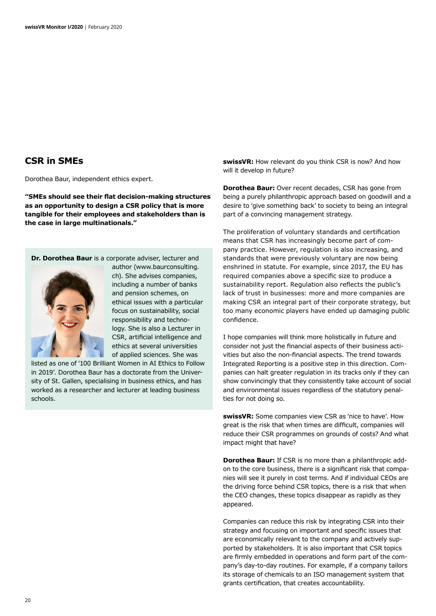### **CSR in SMEs**

Dorothea Baur, independent ethics expert.

**"SMEs should see their flat decision-making structures as an opportunity to design a CSR policy that is more tangible for their employees and stakeholders than is the case in large multinationals."**

**Dr. Dorothea Baur** is a corporate adviser, lecturer and



author (www.baurconsulting. ch). She advises companies, including a number of banks and pension schemes, on ethical issues with a particular focus on sustainability, social responsibility and technology. She is also a Lecturer in CSR, artificial intelligence and ethics at several universities of applied sciences. She was

listed as one of '100 Brilliant Women in AI Ethics to Follow in 2019'. Dorothea Baur has a doctorate from the University of St. Gallen, specialising in business ethics, and has worked as a researcher and lecturer at leading business schools.

**swissVR:** How relevant do you think CSR is now? And how will it develop in future?

**Dorothea Baur:** Over recent decades, CSR has gone from being a purely philanthropic approach based on goodwill and a desire to 'give something back' to society to being an integral part of a convincing management strategy.

The proliferation of voluntary standards and certification means that CSR has increasingly become part of company practice. However, regulation is also increasing, and standards that were previously voluntary are now being enshrined in statute. For example, since 2017, the EU has required companies above a specific size to produce a sustainability report. Regulation also reflects the public's lack of trust in businesses: more and more companies are making CSR an integral part of their corporate strategy, but too many economic players have ended up damaging public confidence.

I hope companies will think more holistically in future and consider not just the financial aspects of their business activities but also the non-financial aspects. The trend towards Integrated Reporting is a positive step in this direction. Companies can halt greater regulation in its tracks only if they can show convincingly that they consistently take account of social and environmental issues regardless of the statutory penalties for not doing so.

**swissVR:** Some companies view CSR as 'nice to have'. How great is the risk that when times are difficult, companies will reduce their CSR programmes on grounds of costs? And what impact might that have?

**Dorothea Baur:** If CSR is no more than a philanthropic addon to the core business, there is a significant risk that companies will see it purely in cost terms. And if individual CEOs are the driving force behind CSR topics, there is a risk that when the CEO changes, these topics disappear as rapidly as they appeared.

Companies can reduce this risk by integrating CSR into their strategy and focusing on important and specific issues that are economically relevant to the company and actively supported by stakeholders. It is also important that CSR topics are firmly embedded in operations and form part of the company's day-to-day routines. For example, if a company tailors its storage of chemicals to an ISO management system that grants certification, that creates accountability.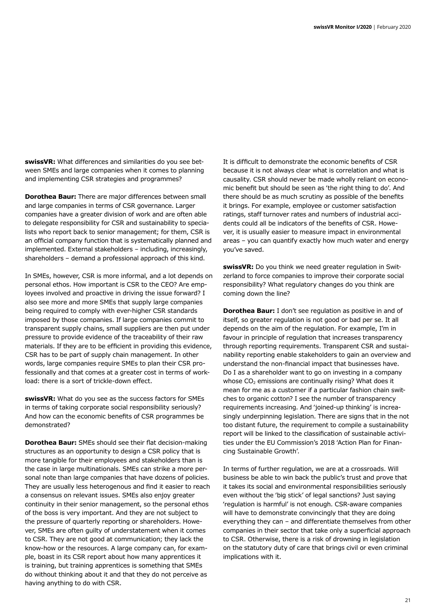**swissVR:** What differences and similarities do you see between SMEs and large companies when it comes to planning and implementing CSR strategies and programmes?

**Dorothea Baur:** There are major differences between small and large companies in terms of CSR governance. Larger companies have a greater division of work and are often able to delegate responsibility for CSR and sustainability to specialists who report back to senior management; for them, CSR is an official company function that is systematically planned and implemented. External stakeholders – including, increasingly, shareholders – demand a professional approach of this kind.

In SMEs, however, CSR is more informal, and a lot depends on personal ethos. How important is CSR to the CEO? Are employees involved and proactive in driving the issue forward? I also see more and more SMEs that supply large companies being required to comply with ever-higher CSR standards imposed by those companies. If large companies commit to transparent supply chains, small suppliers are then put under pressure to provide evidence of the traceability of their raw materials. If they are to be efficient in providing this evidence, CSR has to be part of supply chain management. In other words, large companies require SMEs to plan their CSR professionally and that comes at a greater cost in terms of workload: there is a sort of trickle-down effect.

**swissVR:** What do you see as the success factors for SMEs in terms of taking corporate social responsibility seriously? And how can the economic benefits of CSR programmes be demonstrated?

**Dorothea Baur:** SMEs should see their flat decision-making structures as an opportunity to design a CSR policy that is more tangible for their employees and stakeholders than is the case in large multinationals. SMEs can strike a more personal note than large companies that have dozens of policies. They are usually less heterogenous and find it easier to reach a consensus on relevant issues. SMEs also enjoy greater continuity in their senior management, so the personal ethos of the boss is very important. And they are not subject to the pressure of quarterly reporting or shareholders. However, SMEs are often guilty of understatement when it comes to CSR. They are not good at communication; they lack the know-how or the resources. A large company can, for example, boast in its CSR report about how many apprentices it is training, but training apprentices is something that SMEs do without thinking about it and that they do not perceive as having anything to do with CSR.

It is difficult to demonstrate the economic benefits of CSR because it is not always clear what is correlation and what is causality. CSR should never be made wholly reliant on economic benefit but should be seen as 'the right thing to do'. And there should be as much scrutiny as possible of the benefits it brings. For example, employee or customer satisfaction ratings, staff turnover rates and numbers of industrial accidents could all be indicators of the benefits of CSR. However, it is usually easier to measure impact in environmental areas – you can quantify exactly how much water and energy you've saved.

**swissVR:** Do you think we need greater regulation in Switzerland to force companies to improve their corporate social responsibility? What regulatory changes do you think are coming down the line?

**Dorothea Baur:** I don't see regulation as positive in and of itself, so greater regulation is not good or bad per se. It all depends on the aim of the regulation. For example, I'm in favour in principle of regulation that increases transparency through reporting requirements. Transparent CSR and sustainability reporting enable stakeholders to gain an overview and understand the non-financial impact that businesses have. Do I as a shareholder want to go on investing in a company whose  $CO<sub>2</sub>$  emissions are continually rising? What does it mean for me as a customer if a particular fashion chain switches to organic cotton? I see the number of transparency requirements increasing. And 'joined-up thinking' is increasingly underpinning legislation. There are signs that in the not too distant future, the requirement to compile a sustainability report will be linked to the classification of sustainable activities under the EU Commission's 2018 'Action Plan for Financing Sustainable Growth'.

In terms of further regulation, we are at a crossroads. Will business be able to win back the public's trust and prove that it takes its social and environmental responsibilities seriously even without the 'big stick' of legal sanctions? Just saying 'regulation is harmful' is not enough. CSR-aware companies will have to demonstrate convincingly that they are doing everything they can – and differentiate themselves from other companies in their sector that take only a superficial approach to CSR. Otherwise, there is a risk of drowning in legislation on the statutory duty of care that brings civil or even criminal implications with it.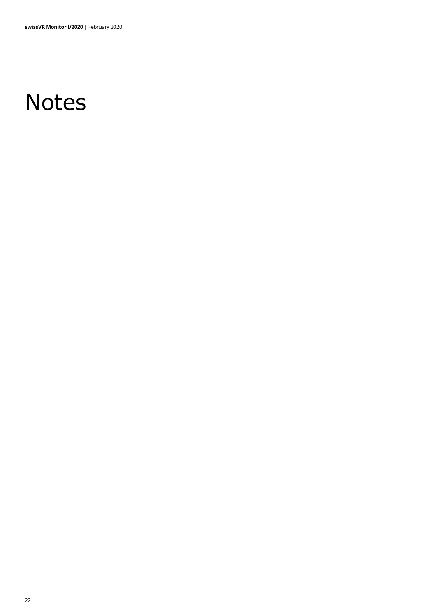# **Notes**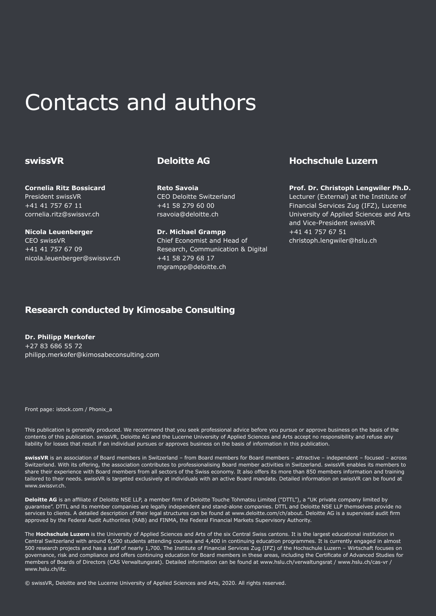## Contacts and authors

#### **swissVR**

**Cornelia Ritz Bossicard** President swissVR +41 41 757 67 11 cornelia.ritz@swissvr.ch

**Nicola Leuenberger** CEO swissVR +41 41 757 67 09 nicola.leuenberger@swissvr.ch

### **Deloitte AG**

**Reto Savoia** CEO Deloitte Switzerland +41 58 279 60 00 rsavoia@deloitte.ch

**Dr. Michael Grampp** Chief Economist and Head of Research, Communication & Digital +41 58 279 68 17 mgrampp@deloitte.ch

### **Hochschule Luzern**

**Prof. Dr. Christoph Lengwiler Ph.D.** Lecturer (External) at the Institute of Financial Services Zug (IFZ), Lucerne University of Applied Sciences and Arts and Vice-President swissVR +41 41 757 67 51 christoph.lengwiler@hslu.ch

## **Research conducted by Kimosabe Consulting**

**Dr. Philipp Merkofer** +27 83 686 55 72 philipp.merkofer@kimosabeconsulting.com

Front page: istock.com / Phonix\_a

This publication is generally produced. We recommend that you seek professional advice before you pursue or approve business on the basis of the contents of this publication. swissVR, Deloitte AG and the Lucerne University of Applied Sciences and Arts accept no responsibility and refuse any liability for losses that result if an individual pursues or approves business on the basis of information in this publication.

**swissVR** is an association of Board members in Switzerland – from Board members for Board members – attractive – independent – focused – across Switzerland. With its offering, the association contributes to professionalising Board member activities in Switzerland. swissVR enables its members to share their experience with Board members from all sectors of the Swiss economy. It also offers its more than 850 members information and training tailored to their needs. swissVR is targeted exclusively at individuals with an active Board mandate. Detailed information on swissVR can be found at www.swissvr.ch.

Deloitte AG is an affiliate of Deloitte NSE LLP, a member firm of Deloitte Touche Tohmatsu Limited ("DTTL"), a "UK private company limited by guarantee". DTTL and its member companies are legally independent and stand-alone companies. DTTL and Deloitte NSE LLP themselves provide no services to clients. A detailed description of their legal structures can be found at www.deloitte.com/ch/about. Deloitte AG is a supervised audit firm approved by the Federal Audit Authorities (RAB) and FINMA, the Federal Financial Markets Supervisory Authority.

The **Hochschule Luzern** is the University of Applied Sciences and Arts of the six Central Swiss cantons. It is the largest educational institution in Central Switzerland with around 6,500 students attending courses and 4,400 in continuing education programmes. It is currently engaged in almost 500 research projects and has a staff of nearly 1,700. The Institute of Financial Services Zug (IFZ) of the Hochschule Luzern – Wirtschaft focuses on governance, risk and compliance and offers continuing education for Board members in these areas, including the Certificate of Advanced Studies for members of Boards of Directors (CAS Verwaltungsrat). Detailed information can be found at www.hslu.ch/verwaltungsrat / www.hslu.ch/cas-vr / www.hslu.ch/ifz.

© swissVR, Deloitte and the Lucerne University of Applied Sciences and Arts, 2020. All rights reserved.